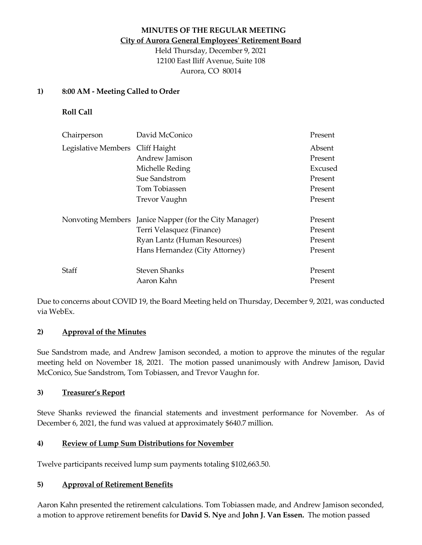# **MINUTES OF THE REGULAR MEETING City of Aurora General Employees' Retirement Board**

Held Thursday, December 9, 2021 12100 East Iliff Avenue, Suite 108 Aurora, CO 80014

#### **1) 8:00 AM - Meeting Called to Order**

**Roll Call**

| Chairperson                      | David McConico                                         | Present |
|----------------------------------|--------------------------------------------------------|---------|
| Legislative Members Cliff Haight |                                                        | Absent  |
|                                  | Andrew Jamison                                         | Present |
|                                  | Michelle Reding                                        | Excused |
|                                  | Sue Sandstrom                                          | Present |
|                                  | Tom Tobiassen                                          | Present |
|                                  | <b>Trevor Vaughn</b>                                   | Present |
|                                  | Nonvoting Members Janice Napper (for the City Manager) | Present |
|                                  | Terri Velasquez (Finance)                              | Present |
|                                  | Ryan Lantz (Human Resources)                           | Present |
|                                  | Hans Hernandez (City Attorney)                         | Present |
| Staff                            | <b>Steven Shanks</b>                                   | Present |
|                                  | Aaron Kahn                                             | Present |

Due to concerns about COVID 19, the Board Meeting held on Thursday, December 9, 2021, was conducted via WebEx.

#### **2) Approval of the Minutes**

Sue Sandstrom made, and Andrew Jamison seconded, a motion to approve the minutes of the regular meeting held on November 18, 2021. The motion passed unanimously with Andrew Jamison, David McConico, Sue Sandstrom, Tom Tobiassen, and Trevor Vaughn for.

#### **3) Treasurer's Report**

Steve Shanks reviewed the financial statements and investment performance for November. As of December 6, 2021, the fund was valued at approximately \$640.7 million.

#### **4) Review of Lump Sum Distributions for November**

Twelve participants received lump sum payments totaling \$102,663.50.

#### **5) Approval of Retirement Benefits**

Aaron Kahn presented the retirement calculations. Tom Tobiassen made, and Andrew Jamison seconded, a motion to approve retirement benefits for **David S. Nye** and **John J. Van Essen.** The motion passed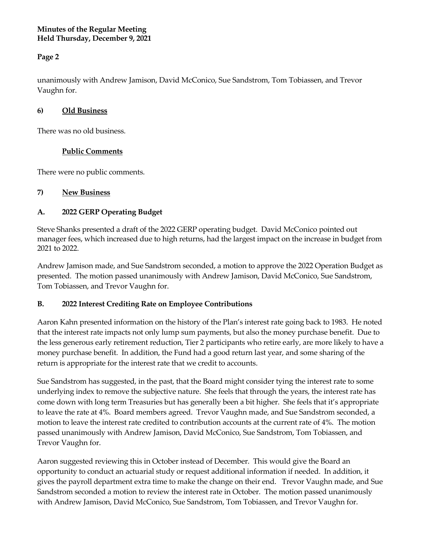#### **Minutes of the Regular Meeting Held Thursday, December 9, 2021**

# **Page 2**

unanimously with Andrew Jamison, David McConico, Sue Sandstrom, Tom Tobiassen, and Trevor Vaughn for.

### **6) Old Business**

There was no old business.

## **Public Comments**

There were no public comments.

## **7) New Business**

# **A. 2022 GERP Operating Budget**

Steve Shanks presented a draft of the 2022 GERP operating budget. David McConico pointed out manager fees, which increased due to high returns, had the largest impact on the increase in budget from 2021 to 2022.

Andrew Jamison made, and Sue Sandstrom seconded, a motion to approve the 2022 Operation Budget as presented. The motion passed unanimously with Andrew Jamison, David McConico, Sue Sandstrom, Tom Tobiassen, and Trevor Vaughn for.

#### **B. 2022 Interest Crediting Rate on Employee Contributions**

Aaron Kahn presented information on the history of the Plan's interest rate going back to 1983. He noted that the interest rate impacts not only lump sum payments, but also the money purchase benefit. Due to the less generous early retirement reduction, Tier 2 participants who retire early, are more likely to have a money purchase benefit. In addition, the Fund had a good return last year, and some sharing of the return is appropriate for the interest rate that we credit to accounts.

Sue Sandstrom has suggested, in the past, that the Board might consider tying the interest rate to some underlying index to remove the subjective nature. She feels that through the years, the interest rate has come down with long term Treasuries but has generally been a bit higher. She feels that it's appropriate to leave the rate at 4%. Board members agreed. Trevor Vaughn made, and Sue Sandstrom seconded, a motion to leave the interest rate credited to contribution accounts at the current rate of 4%. The motion passed unanimously with Andrew Jamison, David McConico, Sue Sandstrom, Tom Tobiassen, and Trevor Vaughn for.

Aaron suggested reviewing this in October instead of December. This would give the Board an opportunity to conduct an actuarial study or request additional information if needed. In addition, it gives the payroll department extra time to make the change on their end. Trevor Vaughn made, and Sue Sandstrom seconded a motion to review the interest rate in October. The motion passed unanimously with Andrew Jamison, David McConico, Sue Sandstrom, Tom Tobiassen, and Trevor Vaughn for.